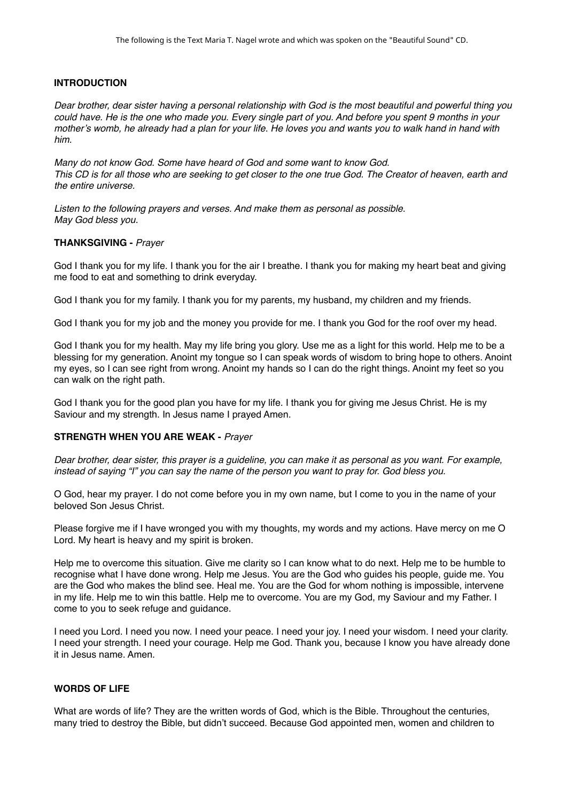# **INTRODUCTION**

*Dear brother, dear sister having a personal relationship with God is the most beautiful and powerful thing you could have. He is the one who made you. Every single part of you. And before you spent 9 months in your mother's womb, he already had a plan for your life. He loves you and wants you to walk hand in hand with him.*

*Many do not know God. Some have heard of God and some want to know God. This CD is for all those who are seeking to get closer to the one true God. The Creator of heaven, earth and the entire universe.*

*Listen to the following prayers and verses. And make them as personal as possible. May God bless you.*

# **THANKSGIVING -** *Prayer*

God I thank you for my life. I thank you for the air I breathe. I thank you for making my heart beat and giving me food to eat and something to drink everyday.

God I thank you for my family. I thank you for my parents, my husband, my children and my friends.

God I thank you for my job and the money you provide for me. I thank you God for the roof over my head.

God I thank you for my health. May my life bring you glory. Use me as a light for this world. Help me to be a blessing for my generation. Anoint my tongue so I can speak words of wisdom to bring hope to others. Anoint my eyes, so I can see right from wrong. Anoint my hands so I can do the right things. Anoint my feet so you can walk on the right path.

God I thank you for the good plan you have for my life. I thank you for giving me Jesus Christ. He is my Saviour and my strength. In Jesus name I prayed Amen.

# **STRENGTH WHEN YOU ARE WEAK -** *Prayer*

*Dear brother, dear sister, this prayer is a guideline, you can make it as personal as you want. For example, instead of saying "I" you can say the name of the person you want to pray for. God bless you.*

O God, hear my prayer. I do not come before you in my own name, but I come to you in the name of your beloved Son Jesus Christ.

Please forgive me if I have wronged you with my thoughts, my words and my actions. Have mercy on me O Lord. My heart is heavy and my spirit is broken.

Help me to overcome this situation. Give me clarity so I can know what to do next. Help me to be humble to recognise what I have done wrong. Help me Jesus. You are the God who guides his people, guide me. You are the God who makes the blind see. Heal me. You are the God for whom nothing is impossible, intervene in my life. Help me to win this battle. Help me to overcome. You are my God, my Saviour and my Father. I come to you to seek refuge and guidance.

I need you Lord. I need you now. I need your peace. I need your joy. I need your wisdom. I need your clarity. I need your strength. I need your courage. Help me God. Thank you, because I know you have already done it in Jesus name. Amen.

# **WORDS OF LIFE**

What are words of life? They are the written words of God, which is the Bible. Throughout the centuries, many tried to destroy the Bible, but didn't succeed. Because God appointed men, women and children to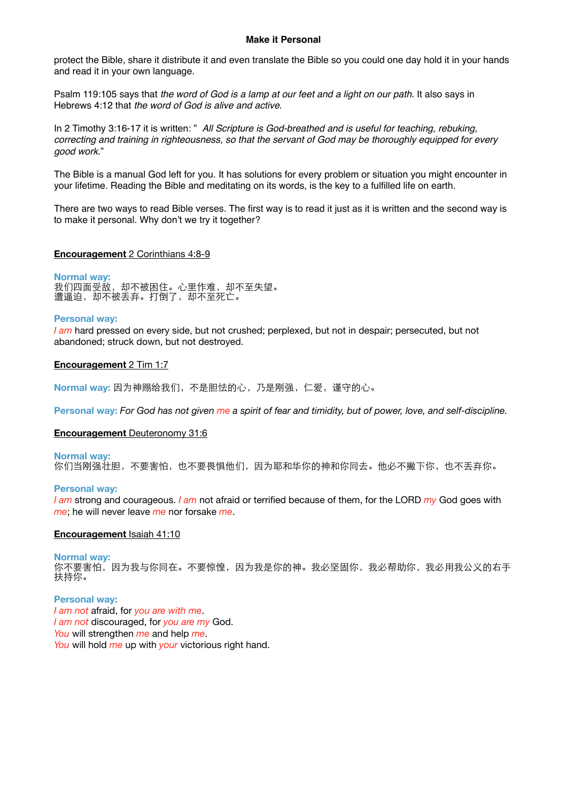### **Make it Personal**

protect the Bible, share it distribute it and even translate the Bible so you could one day hold it in your hands and read it in your own language.

Psalm 119:105 says that *the word of God is a lamp at our feet and a light on our path.* It also says in Hebrews 4:12 that *the word of God is alive and active*.

In 2 Timothy 3:16-17 it is written: " *All Scripture is God-breathed and is useful for teaching, rebuking, correcting and training in righteousness, so that the servant of God may be thoroughly equipped for every good work.*"

The Bible is a manual God left for you. It has solutions for every problem or situation you might encounter in your lifetime. Reading the Bible and meditating on its words, is the key to a fulfilled life on earth.

There are two ways to read Bible verses. The first way is to read it just as it is written and the second way is to make it personal. Why don't we try it together?

### **Encouragement** 2 Corinthians 4:8-9

**Normal way:**  我们四面受敌,却不被困住。心里作难,却不至失望。 遭逼迫, 却不被丢弃。打倒了, 却不至死亡。

### **Personal way:**

*I am* hard pressed on every side, but not crushed; perplexed, but not in despair; persecuted, but not abandoned; struck down, but not destroyed.

### **Encouragement** 2 Tim 1:7

Normal way: 因为神赐给我们, 不是胆怯的心, 乃是刚强, 仁爱, 谨守的心。

**Personal way:** *For God has not given me a spirit of fear and timidity, but of power, love, and self-discipline.*

### **Encouragement** Deuteronomy 31:6

**Normal way:**  你们当刚强壮胆,不要害怕,也不要畏惧他们,因为耶和华你的神和你同去。他必不撇下你,也不丢弃你。

#### **Personal way:**

*I am* strong and courageous. *I am* not afraid or terrified because of them, for the LORD *my* God goes with *me*; he will never leave *me* nor forsake *me*.

#### **Encouragement** Isaiah 41:10

**Normal way:** 

你不要害怕,因为我与你同在。不要惊惶,因为我是你的神。我必坚固你,我必帮助你,我必用我公义的右手 扶持你。

**Personal way:**  *I am not* afraid, for *you are with me*. *I am not* discouraged, for *you are my* God. *You* will strengthen *me* and help *me*. *You* will hold *me* up with *your* victorious right hand.